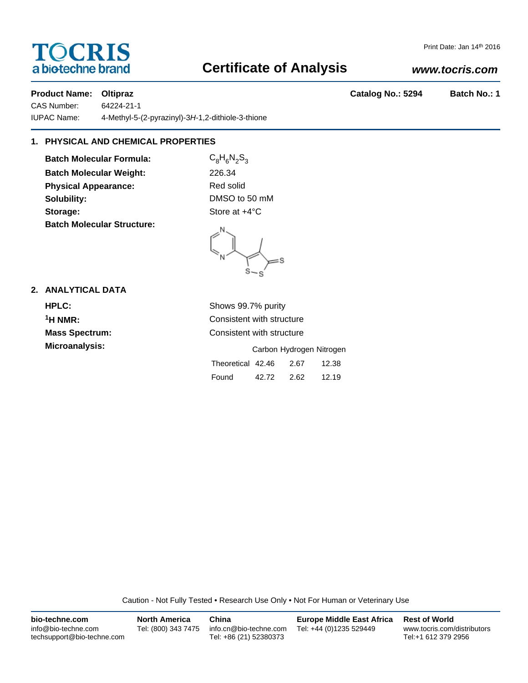# **TOCRIS** a biotechne brand

## **Certificate of Analysis**

## *www.tocris.com*

Print Date: Jan 14th 2016

## Product Name: Oltipraz **Catalog No.: 5294** Batch No.: 1

CAS Number: 64224-21-1 IUPAC Name: 4-Methyl-5-(2-pyrazinyl)-3*H*-1,2-dithiole-3-thione

## **1. PHYSICAL AND CHEMICAL PROPERTIES**

**Batch Molecular Formula:** C<sub>8</sub>H<sub>6</sub>N<sub>2</sub>S<sub>3</sub> **Batch Molecular Weight:** 226.34 **Physical Appearance:** Red solid **Solubility:** DMSO to 50 mM **Storage:** Store at  $+4^{\circ}$ C **Batch Molecular Structure:**

 $=$ s

### **2. ANALYTICAL DATA**

| <b>HPLC:</b>          | Shows 99.7% purity                 |  |  |  |  |  |
|-----------------------|------------------------------------|--|--|--|--|--|
| $1$ H NMR:            | Consistent with structure          |  |  |  |  |  |
| <b>Mass Spectrum:</b> | Consistent with structure          |  |  |  |  |  |
| Microanalysis:        | Carbon Hydrogen Nitrogen           |  |  |  |  |  |
|                       | Theoretical 42.46<br>12.38<br>2.67 |  |  |  |  |  |
|                       | Found<br>2.62<br>12.19<br>42.72    |  |  |  |  |  |

Caution - Not Fully Tested • Research Use Only • Not For Human or Veterinary Use

| bio-techne.com                                    | <b>North America</b> | China                                            | <b>Europe Middle East Africa</b> | <b>Rest of World</b>                               |
|---------------------------------------------------|----------------------|--------------------------------------------------|----------------------------------|----------------------------------------------------|
| info@bio-techne.com<br>techsupport@bio-techne.com | Tel: (800) 343 7475  | info.cn@bio-techne.com<br>Tel: +86 (21) 52380373 | Tel: +44 (0)1235 529449          | www.tocris.com/distributors<br>Tel:+1 612 379 2956 |